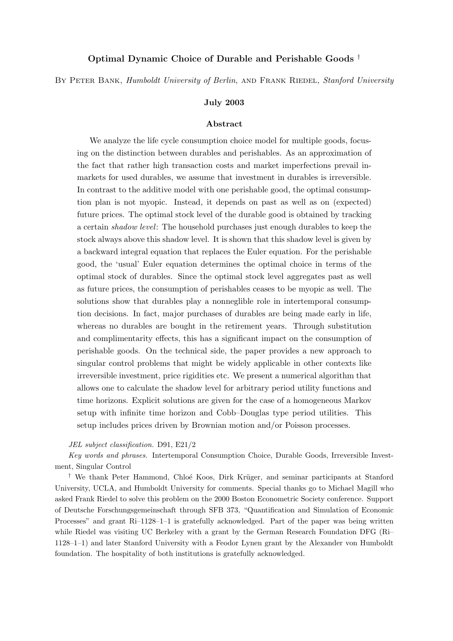### Optimal Dynamic Choice of Durable and Perishable Goods †

BY PETER BANK, Humboldt University of Berlin, AND FRANK RIEDEL, Stanford University

#### July 2003

#### Abstract

We analyze the life cycle consumption choice model for multiple goods, focusing on the distinction between durables and perishables. As an approximation of the fact that rather high transaction costs and market imperfections prevail inmarkets for used durables, we assume that investment in durables is irreversible. In contrast to the additive model with one perishable good, the optimal consumption plan is not myopic. Instead, it depends on past as well as on (expected) future prices. The optimal stock level of the durable good is obtained by tracking a certain shadow level: The household purchases just enough durables to keep the stock always above this shadow level. It is shown that this shadow level is given by a backward integral equation that replaces the Euler equation. For the perishable good, the 'usual' Euler equation determines the optimal choice in terms of the optimal stock of durables. Since the optimal stock level aggregates past as well as future prices, the consumption of perishables ceases to be myopic as well. The solutions show that durables play a nonneglible role in intertemporal consumption decisions. In fact, major purchases of durables are being made early in life, whereas no durables are bought in the retirement years. Through substitution and complimentarity effects, this has a significant impact on the consumption of perishable goods. On the technical side, the paper provides a new approach to singular control problems that might be widely applicable in other contexts like irreversible investment, price rigidities etc. We present a numerical algorithm that allows one to calculate the shadow level for arbitrary period utility functions and time horizons. Explicit solutions are given for the case of a homogeneous Markov setup with infinite time horizon and Cobb–Douglas type period utilities. This setup includes prices driven by Brownian motion and/or Poisson processes.

#### JEL subject classification. D91, E21/2

Key words and phrases. Intertemporal Consumption Choice, Durable Goods, Irreversible Investment, Singular Control

<sup>†</sup> We thank Peter Hammond, Chloé Koos, Dirk Krüger, and seminar participants at Stanford University, UCLA, and Humboldt University for comments. Special thanks go to Michael Magill who asked Frank Riedel to solve this problem on the 2000 Boston Econometric Society conference. Support of Deutsche Forschungsgemeinschaft through SFB 373, "Quantification and Simulation of Economic Processes" and grant Ri–1128–1–1 is gratefully acknowledged. Part of the paper was being written while Riedel was visiting UC Berkeley with a grant by the German Research Foundation DFG (Ri– 1128–1–1) and later Stanford University with a Feodor Lynen grant by the Alexander von Humboldt foundation. The hospitality of both institutions is gratefully acknowledged.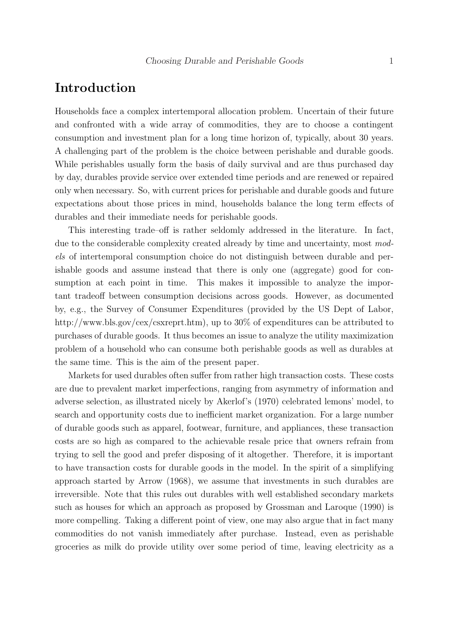## Introduction

Households face a complex intertemporal allocation problem. Uncertain of their future and confronted with a wide array of commodities, they are to choose a contingent consumption and investment plan for a long time horizon of, typically, about 30 years. A challenging part of the problem is the choice between perishable and durable goods. While perishables usually form the basis of daily survival and are thus purchased day by day, durables provide service over extended time periods and are renewed or repaired only when necessary. So, with current prices for perishable and durable goods and future expectations about those prices in mind, households balance the long term effects of durables and their immediate needs for perishable goods.

This interesting trade–off is rather seldomly addressed in the literature. In fact, due to the considerable complexity created already by time and uncertainty, most models of intertemporal consumption choice do not distinguish between durable and perishable goods and assume instead that there is only one (aggregate) good for consumption at each point in time. This makes it impossible to analyze the important tradeoff between consumption decisions across goods. However, as documented by, e.g., the Survey of Consumer Expenditures (provided by the US Dept of Labor, http://www.bls.gov/cex/csxreprt.htm), up to 30% of expenditures can be attributed to purchases of durable goods. It thus becomes an issue to analyze the utility maximization problem of a household who can consume both perishable goods as well as durables at the same time. This is the aim of the present paper.

Markets for used durables often suffer from rather high transaction costs. These costs are due to prevalent market imperfections, ranging from asymmetry of information and adverse selection, as illustrated nicely by Akerlof's (1970) celebrated lemons' model, to search and opportunity costs due to inefficient market organization. For a large number of durable goods such as apparel, footwear, furniture, and appliances, these transaction costs are so high as compared to the achievable resale price that owners refrain from trying to sell the good and prefer disposing of it altogether. Therefore, it is important to have transaction costs for durable goods in the model. In the spirit of a simplifying approach started by Arrow (1968), we assume that investments in such durables are irreversible. Note that this rules out durables with well established secondary markets such as houses for which an approach as proposed by Grossman and Laroque (1990) is more compelling. Taking a different point of view, one may also argue that in fact many commodities do not vanish immediately after purchase. Instead, even as perishable groceries as milk do provide utility over some period of time, leaving electricity as a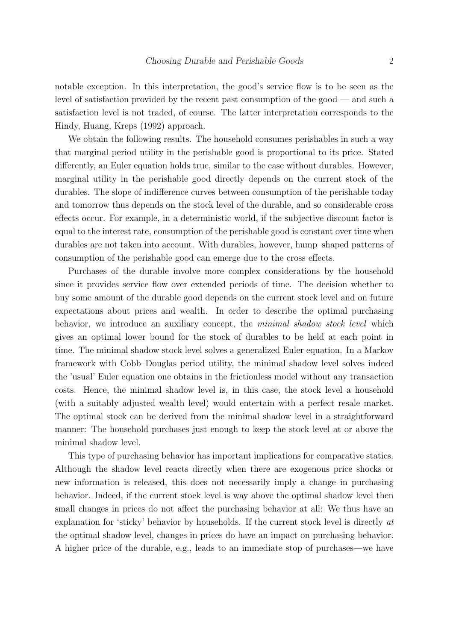notable exception. In this interpretation, the good's service flow is to be seen as the level of satisfaction provided by the recent past consumption of the good — and such a satisfaction level is not traded, of course. The latter interpretation corresponds to the Hindy, Huang, Kreps (1992) approach.

We obtain the following results. The household consumes perishables in such a way that marginal period utility in the perishable good is proportional to its price. Stated differently, an Euler equation holds true, similar to the case without durables. However, marginal utility in the perishable good directly depends on the current stock of the durables. The slope of indifference curves between consumption of the perishable today and tomorrow thus depends on the stock level of the durable, and so considerable cross effects occur. For example, in a deterministic world, if the subjective discount factor is equal to the interest rate, consumption of the perishable good is constant over time when durables are not taken into account. With durables, however, hump–shaped patterns of consumption of the perishable good can emerge due to the cross effects.

Purchases of the durable involve more complex considerations by the household since it provides service flow over extended periods of time. The decision whether to buy some amount of the durable good depends on the current stock level and on future expectations about prices and wealth. In order to describe the optimal purchasing behavior, we introduce an auxiliary concept, the *minimal shadow stock level* which gives an optimal lower bound for the stock of durables to be held at each point in time. The minimal shadow stock level solves a generalized Euler equation. In a Markov framework with Cobb–Douglas period utility, the minimal shadow level solves indeed the 'usual' Euler equation one obtains in the frictionless model without any transaction costs. Hence, the minimal shadow level is, in this case, the stock level a household (with a suitably adjusted wealth level) would entertain with a perfect resale market. The optimal stock can be derived from the minimal shadow level in a straightforward manner: The household purchases just enough to keep the stock level at or above the minimal shadow level.

This type of purchasing behavior has important implications for comparative statics. Although the shadow level reacts directly when there are exogenous price shocks or new information is released, this does not necessarily imply a change in purchasing behavior. Indeed, if the current stock level is way above the optimal shadow level then small changes in prices do not affect the purchasing behavior at all: We thus have an explanation for 'sticky' behavior by households. If the current stock level is directly at the optimal shadow level, changes in prices do have an impact on purchasing behavior. A higher price of the durable, e.g., leads to an immediate stop of purchases—we have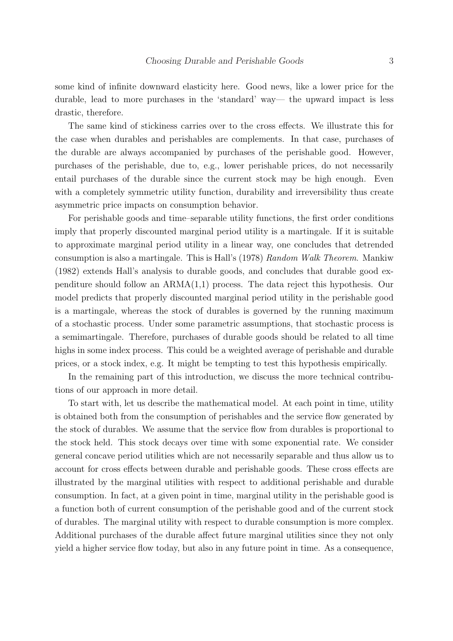some kind of infinite downward elasticity here. Good news, like a lower price for the durable, lead to more purchases in the 'standard' way— the upward impact is less drastic, therefore.

The same kind of stickiness carries over to the cross effects. We illustrate this for the case when durables and perishables are complements. In that case, purchases of the durable are always accompanied by purchases of the perishable good. However, purchases of the perishable, due to, e.g., lower perishable prices, do not necessarily entail purchases of the durable since the current stock may be high enough. Even with a completely symmetric utility function, durability and irreversibility thus create asymmetric price impacts on consumption behavior.

For perishable goods and time–separable utility functions, the first order conditions imply that properly discounted marginal period utility is a martingale. If it is suitable to approximate marginal period utility in a linear way, one concludes that detrended consumption is also a martingale. This is Hall's (1978) Random Walk Theorem. Mankiw (1982) extends Hall's analysis to durable goods, and concludes that durable good expenditure should follow an ARMA(1,1) process. The data reject this hypothesis. Our model predicts that properly discounted marginal period utility in the perishable good is a martingale, whereas the stock of durables is governed by the running maximum of a stochastic process. Under some parametric assumptions, that stochastic process is a semimartingale. Therefore, purchases of durable goods should be related to all time highs in some index process. This could be a weighted average of perishable and durable prices, or a stock index, e.g. It might be tempting to test this hypothesis empirically.

In the remaining part of this introduction, we discuss the more technical contributions of our approach in more detail.

To start with, let us describe the mathematical model. At each point in time, utility is obtained both from the consumption of perishables and the service flow generated by the stock of durables. We assume that the service flow from durables is proportional to the stock held. This stock decays over time with some exponential rate. We consider general concave period utilities which are not necessarily separable and thus allow us to account for cross effects between durable and perishable goods. These cross effects are illustrated by the marginal utilities with respect to additional perishable and durable consumption. In fact, at a given point in time, marginal utility in the perishable good is a function both of current consumption of the perishable good and of the current stock of durables. The marginal utility with respect to durable consumption is more complex. Additional purchases of the durable affect future marginal utilities since they not only yield a higher service flow today, but also in any future point in time. As a consequence,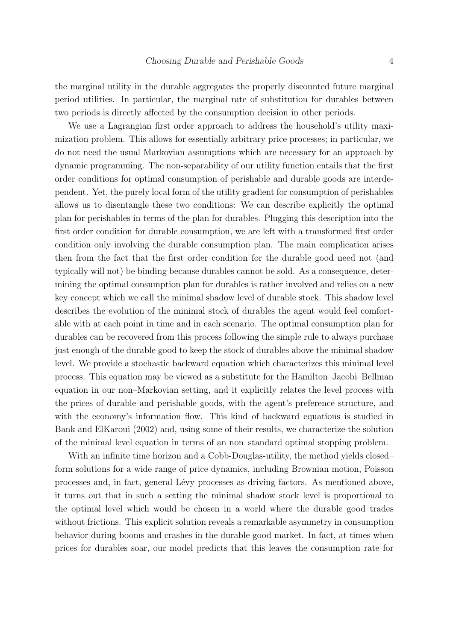the marginal utility in the durable aggregates the properly discounted future marginal period utilities. In particular, the marginal rate of substitution for durables between two periods is directly affected by the consumption decision in other periods.

We use a Lagrangian first order approach to address the household's utility maximization problem. This allows for essentially arbitrary price processes; in particular, we do not need the usual Markovian assumptions which are necessary for an approach by dynamic programming. The non-separability of our utility function entails that the first order conditions for optimal consumption of perishable and durable goods are interdependent. Yet, the purely local form of the utility gradient for consumption of perishables allows us to disentangle these two conditions: We can describe explicitly the optimal plan for perishables in terms of the plan for durables. Plugging this description into the first order condition for durable consumption, we are left with a transformed first order condition only involving the durable consumption plan. The main complication arises then from the fact that the first order condition for the durable good need not (and typically will not) be binding because durables cannot be sold. As a consequence, determining the optimal consumption plan for durables is rather involved and relies on a new key concept which we call the minimal shadow level of durable stock. This shadow level describes the evolution of the minimal stock of durables the agent would feel comfortable with at each point in time and in each scenario. The optimal consumption plan for durables can be recovered from this process following the simple rule to always purchase just enough of the durable good to keep the stock of durables above the minimal shadow level. We provide a stochastic backward equation which characterizes this minimal level process. This equation may be viewed as a substitute for the Hamilton–Jacobi–Bellman equation in our non–Markovian setting, and it explicitly relates the level process with the prices of durable and perishable goods, with the agent's preference structure, and with the economy's information flow. This kind of backward equations is studied in Bank and ElKaroui (2002) and, using some of their results, we characterize the solution of the minimal level equation in terms of an non–standard optimal stopping problem.

With an infinite time horizon and a Cobb-Douglas-utility, the method yields closed– form solutions for a wide range of price dynamics, including Brownian motion, Poisson processes and, in fact, general L´evy processes as driving factors. As mentioned above, it turns out that in such a setting the minimal shadow stock level is proportional to the optimal level which would be chosen in a world where the durable good trades without frictions. This explicit solution reveals a remarkable asymmetry in consumption behavior during booms and crashes in the durable good market. In fact, at times when prices for durables soar, our model predicts that this leaves the consumption rate for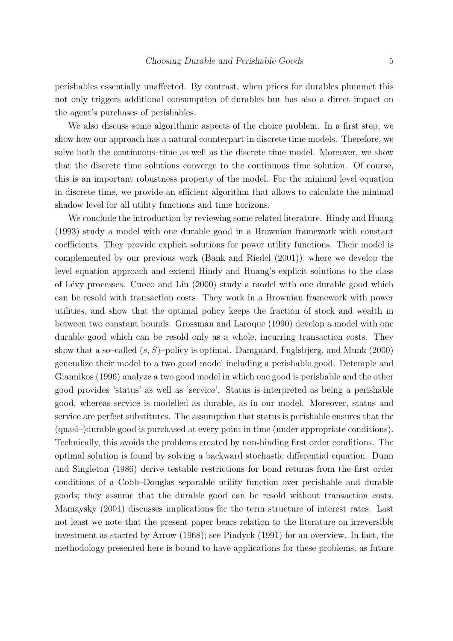perishables essentially unaffected. By contrast, when prices for durables plummet this not only triggers additional consumption of durables but has also a direct impact on the agent's purchases of perishables.

We also discuss some algorithmic aspects of the choice problem. In a first step, we show how our approach has a natural counterpart in discrete time models. Therefore, we solve both the continuous–time as well as the discrete time model. Moreover, we show that the discrete time solutions converge to the continuous time solution. Of course, this is an important robustness property of the model. For the minimal level equation in discrete time, we provide an efficient algorithm that allows to calculate the minimal shadow level for all utility functions and time horizons.

We conclude the introduction by reviewing some related literature. Hindy and Huang (1993) study a model with one durable good in a Brownian framework with constant coefficients. They provide explicit solutions for power utility functions. Their model is complemented by our previous work (Bank and Riedel (2001)), where we develop the level equation approach and extend Hindy and Huang's explicit solutions to the class of L´evy processes. Cuoco and Liu (2000) study a model with one durable good which can be resold with transaction costs. They work in a Brownian framework with power utilities, and show that the optimal policy keeps the fraction of stock and wealth in between two constant bounds. Grossman and Laroque (1990) develop a model with one durable good which can be resold only as a whole, incurring transaction costs. They show that a so–called  $(s, S)$ –policy is optimal. Damgaard, Fuglsbjerg, and Munk (2000) generalize their model to a two good model including a perishable good. Detemple and Giannikos (1996) analyze a two good model in which one good is perishable and the other good provides 'status' as well as 'service'. Status is interpreted as being a perishable good, whereas service is modelled as durable, as in our model. Moreover, status and service are perfect substitutes. The assumption that status is perishable ensures that the (quasi–)durable good is purchased at every point in time (under appropriate conditions). Technically, this avoids the problems created by non-binding first order conditions. The optimal solution is found by solving a backward stochastic differential equation. Dunn and Singleton (1986) derive testable restrictions for bond returns from the first order conditions of a Cobb–Douglas separable utility function over perishable and durable goods; they assume that the durable good can be resold without transaction costs. Mamaysky (2001) discusses implications for the term structure of interest rates. Last not least we note that the present paper bears relation to the literature on irreversible investment as started by Arrow (1968); see Pindyck (1991) for an overview. In fact, the methodology presented here is bound to have applications for these problems, as future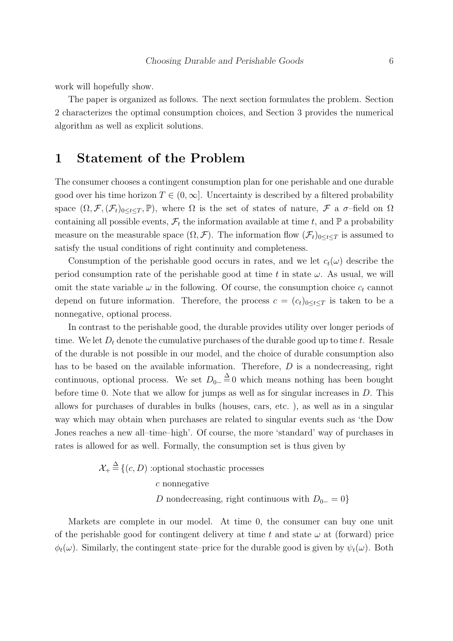work will hopefully show.

The paper is organized as follows. The next section formulates the problem. Section 2 characterizes the optimal consumption choices, and Section 3 provides the numerical algorithm as well as explicit solutions.

### 1 Statement of the Problem

The consumer chooses a contingent consumption plan for one perishable and one durable good over his time horizon  $T \in (0,\infty]$ . Uncertainty is described by a filtered probability space  $(\Omega, \mathcal{F}, (\mathcal{F}_t)_{0\leq t\leq T}, \mathbb{P})$ , where  $\Omega$  is the set of states of nature,  $\mathcal{F}$  a  $\sigma$ -field on  $\Omega$ containing all possible events,  $\mathcal{F}_t$  the information available at time t, and  $\mathbb P$  a probability measure on the measurable space  $(\Omega, \mathcal{F})$ . The information flow  $(\mathcal{F}_t)_{0 \leq t \leq T}$  is assumed to satisfy the usual conditions of right continuity and completeness.

Consumption of the perishable good occurs in rates, and we let  $c_t(\omega)$  describe the period consumption rate of the perishable good at time t in state  $\omega$ . As usual, we will omit the state variable  $\omega$  in the following. Of course, the consumption choice  $c_t$  cannot depend on future information. Therefore, the process  $c = (c_t)_{0 \leq t \leq T}$  is taken to be a nonnegative, optional process.

In contrast to the perishable good, the durable provides utility over longer periods of time. We let  $D_t$  denote the cumulative purchases of the durable good up to time t. Resale of the durable is not possible in our model, and the choice of durable consumption also has to be based on the available information. Therefore, D is a nondecreasing, right continuous, optional process. We set  $D_{0-} \stackrel{\Delta}{=} 0$  which means nothing has been bought before time 0. Note that we allow for jumps as well as for singular increases in  $D$ . This allows for purchases of durables in bulks (houses, cars, etc. ), as well as in a singular way which may obtain when purchases are related to singular events such as 'the Dow Jones reaches a new all–time–high'. Of course, the more 'standard' way of purchases in rates is allowed for as well. Formally, the consumption set is thus given by

$$
\mathcal{X}_{+} \stackrel{\Delta}{=} \{(c, D) \text{ :optional stochastic processes}
$$
  
*c* nonnegative  
*D* nondecreasing, right continuous with  $D_{0-} = 0$ 

Markets are complete in our model. At time 0, the consumer can buy one unit of the perishable good for contingent delivery at time t and state  $\omega$  at (forward) price  $\phi_t(\omega)$ . Similarly, the contingent state–price for the durable good is given by  $\psi_t(\omega)$ . Both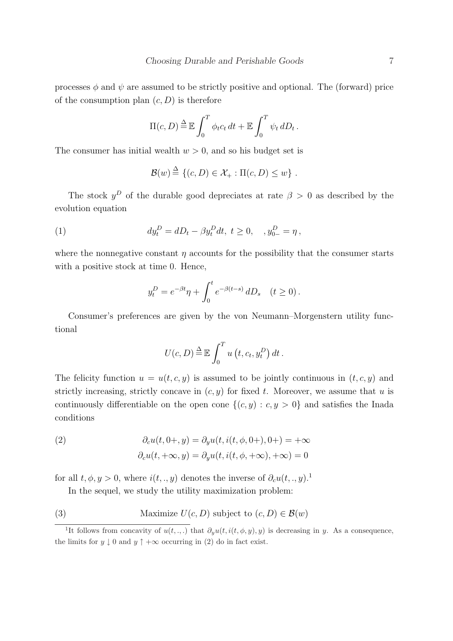processes  $\phi$  and  $\psi$  are assumed to be strictly positive and optional. The (forward) price of the consumption plan  $(c, D)$  is therefore

$$
\Pi(c, D) \stackrel{\Delta}{=} \mathbb{E} \int_0^T \phi_t c_t dt + \mathbb{E} \int_0^T \psi_t dD_t.
$$

The consumer has initial wealth  $w > 0$ , and so his budget set is

$$
\mathcal{B}(w) \stackrel{\Delta}{=} \{ (c, D) \in \mathcal{X}_+ : \Pi(c, D) \le w \} .
$$

The stock  $y^D$  of the durable good depreciates at rate  $\beta > 0$  as described by the evolution equation

(1) 
$$
dy_t^D = dD_t - \beta y_t^D dt, \ t \ge 0, \quad , y_{0-}^D = \eta \,,
$$

where the nonnegative constant  $\eta$  accounts for the possibility that the consumer starts with a positive stock at time 0. Hence,

$$
y_t^D = e^{-\beta t} \eta + \int_0^t e^{-\beta(t-s)} dD_s \quad (t \ge 0).
$$

Consumer's preferences are given by the von Neumann–Morgenstern utility functional

$$
U(c, D) \stackrel{\Delta}{=} \mathbb{E} \int_0^T u(t, c_t, y_t^D) dt.
$$

The felicity function  $u = u(t, c, y)$  is assumed to be jointly continuous in  $(t, c, y)$  and strictly increasing, strictly concave in  $(c, y)$  for fixed t. Moreover, we assume that u is continuously differentiable on the open cone  $\{(c, y) : c, y > 0\}$  and satisfies the Inada conditions

(2) 
$$
\partial_c u(t, 0+, y) = \partial_y u(t, i(t, \phi, 0+), 0+) = +\infty
$$

$$
\partial_c u(t, +\infty, y) = \partial_y u(t, i(t, \phi, +\infty), +\infty) = 0
$$

for all  $t, \phi, y > 0$ , where  $i(t, \cdot, y)$  denotes the inverse of  $\partial_c u(t, \cdot, y)$ .

In the sequel, we study the utility maximization problem:

(3) Maximize  $U(c, D)$  subject to  $(c, D) \in \mathcal{B}(w)$ 

<sup>&</sup>lt;sup>1</sup>It follows from concavity of  $u(t, \ldots)$  that  $\partial_y u(t, i(t, \phi, y), y)$  is decreasing in y. As a consequence, the limits for  $y \downarrow 0$  and  $y \uparrow +\infty$  occurring in (2) do in fact exist.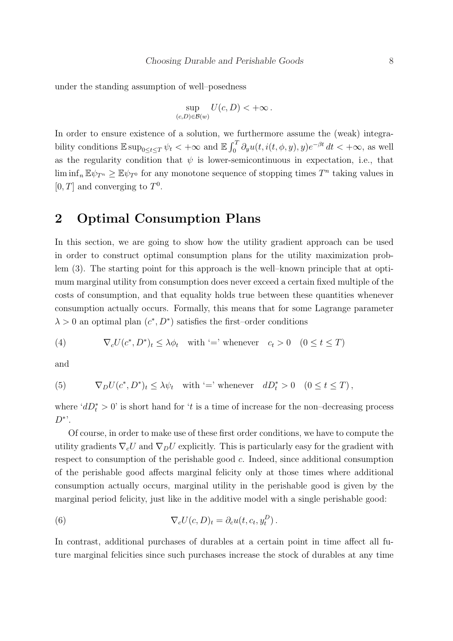under the standing assumption of well–posedness

$$
\sup_{(c,D)\in\mathcal{B}(w)} U(c,D) < +\infty.
$$

In order to ensure existence of a solution, we furthermore assume the (weak) integrability conditions  $\mathbb{E} \sup_{0 \le t \le T} \psi_t < +\infty$  and  $\mathbb{E}$  $\frac{C}{T}$  $\int_0^T \partial_y u(t, i(t, \phi, y), y) e^{-\beta t} dt < +\infty$ , as well as the regularity condition that  $\psi$  is lower-semicontinuous in expectation, i.e., that  $\liminf_{n} \mathbb{E} \psi_{T^n} \geq \mathbb{E} \psi_{T^0}$  for any monotone sequence of stopping times  $T^n$  taking values in  $[0, T]$  and converging to  $T^0$ .

# 2 Optimal Consumption Plans

In this section, we are going to show how the utility gradient approach can be used in order to construct optimal consumption plans for the utility maximization problem (3). The starting point for this approach is the well–known principle that at optimum marginal utility from consumption does never exceed a certain fixed multiple of the costs of consumption, and that equality holds true between these quantities whenever consumption actually occurs. Formally, this means that for some Lagrange parameter  $\lambda > 0$  an optimal plan  $(c^*, D^*)$  satisfies the first–order conditions

(4) 
$$
\nabla_c U(c^*, D^*)_t \leq \lambda \phi_t \quad \text{with } = \text{ whenever } c_t > 0 \quad (0 \leq t \leq T)
$$

and

(5) 
$$
\nabla_D U(c^*, D^*)_t \leq \lambda \psi_t \quad \text{with } = \text{ whenever } dD_t^* > 0 \quad (0 \leq t \leq T),
$$

where ' $dD_t^* > 0$ ' is short hand for 't is a time of increase for the non-decreasing process  $D^*$ '.

Of course, in order to make use of these first order conditions, we have to compute the utility gradients  $\nabla_c U$  and  $\nabla_D U$  explicitly. This is particularly easy for the gradient with respect to consumption of the perishable good c. Indeed, since additional consumption of the perishable good affects marginal felicity only at those times where additional consumption actually occurs, marginal utility in the perishable good is given by the marginal period felicity, just like in the additive model with a single perishable good:

(6) 
$$
\nabla_c U(c, D)_t = \partial_c u(t, c_t, y_t^D).
$$

In contrast, additional purchases of durables at a certain point in time affect all future marginal felicities since such purchases increase the stock of durables at any time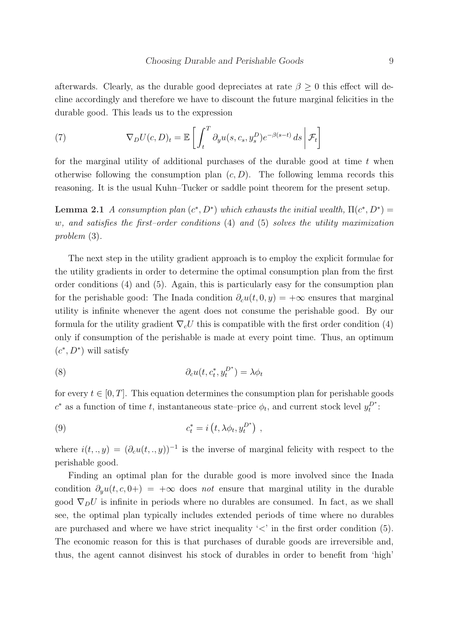afterwards. Clearly, as the durable good depreciates at rate  $\beta \geq 0$  this effect will decline accordingly and therefore we have to discount the future marginal felicities in the durable good. This leads us to the expression

(7) 
$$
\nabla_D U(c, D)_t = \mathbb{E}\left[\int_t^T \partial_y u(s, c_s, y_s^D) e^{-\beta(s-t)} ds \middle| \mathcal{F}_t\right]
$$

for the marginal utility of additional purchases of the durable good at time  $t$  when otherwise following the consumption plan  $(c, D)$ . The following lemma records this reasoning. It is the usual Kuhn–Tucker or saddle point theorem for the present setup.

Lemma 2.1 A consumption plan  $(c^*, D^*)$  which exhausts the initial wealth,  $\Pi(c^*, D^*) =$ w, and satisfies the first–order conditions (4) and (5) solves the utility maximization problem (3).

The next step in the utility gradient approach is to employ the explicit formulae for the utility gradients in order to determine the optimal consumption plan from the first order conditions (4) and (5). Again, this is particularly easy for the consumption plan for the perishable good: The Inada condition  $\partial_{\alpha}u(t,0,y) = +\infty$  ensures that marginal utility is infinite whenever the agent does not consume the perishable good. By our formula for the utility gradient  $\nabla_c U$  this is compatible with the first order condition (4) only if consumption of the perishable is made at every point time. Thus, an optimum  $(c^*, D^*)$  will satisfy

(8) 
$$
\partial_c u(t, c_t^*, y_t^{D^*}) = \lambda \phi_t
$$

for every  $t \in [0, T]$ . This equation determines the consumption plan for perishable goods  $c^*$  as a function of time t, instantaneous state–price  $\phi_t$ , and current stock level  $y_t^{D^*}$ :

(9) 
$$
c_t^* = i\left(t, \lambda \phi_t, y_t^{D^*}\right),
$$

where  $i(t,.,y) = (\partial_c u(t,.,y))^{-1}$  is the inverse of marginal felicity with respect to the perishable good.

Finding an optimal plan for the durable good is more involved since the Inada condition  $\partial_{\nu}u(t, c, 0+) = +\infty$  does not ensure that marginal utility in the durable good  $\nabla_D U$  is infinite in periods where no durables are consumed. In fact, as we shall see, the optimal plan typically includes extended periods of time where no durables are purchased and where we have strict inequality  $\langle \langle \rangle$  in the first order condition (5). The economic reason for this is that purchases of durable goods are irreversible and, thus, the agent cannot disinvest his stock of durables in order to benefit from 'high'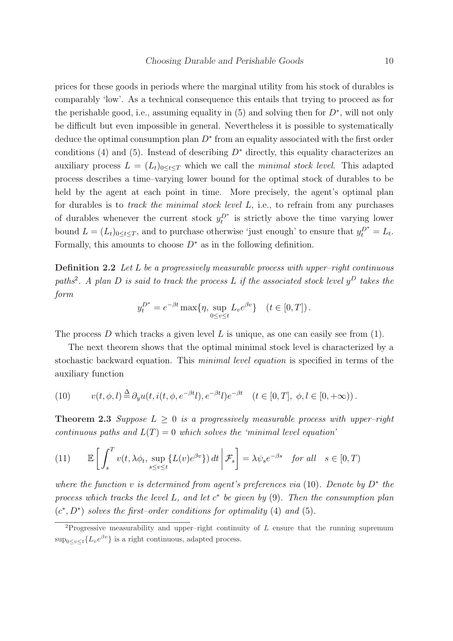prices for these goods in periods where the marginal utility from his stock of durables is comparably 'low'. As a technical consequence this entails that trying to proceed as for the perishable good, i.e., assuming equality in  $(5)$  and solving then for  $D^*$ , will not only be difficult but even impossible in general. Nevertheless it is possible to systematically deduce the optimal consumption plan  $D^*$  from an equality associated with the first order conditions (4) and (5). Instead of describing  $D^*$  directly, this equality characterizes an auxiliary process  $L = (L_t)_{0 \le t \le T}$  which we call the *minimal stock level*. This adapted process describes a time–varying lower bound for the optimal stock of durables to be held by the agent at each point in time. More precisely, the agent's optimal plan for durables is to *track the minimal stock level L*, i.e., to refrain from any purchases of durables whenever the current stock  $y_t^{D^*}$  is strictly above the time varying lower bound  $L = (L_t)_{0 \le t \le T}$ , and to purchase otherwise 'just enough' to ensure that  $y_t^{D^*} = L_t$ . Formally, this amounts to choose  $D^*$  as in the following definition.

Definition 2.2 Let L be a progressively measurable process with upper-right continuous paths<sup>2</sup>. A plan D is said to track the process L if the associated stock level  $y^D$  takes the form

$$
y_t^{D^*} = e^{-\beta t} \max\{\eta, \sup_{0 \le v \le t} L_v e^{\beta v}\} \quad (t \in [0, T]).
$$

The process D which tracks a given level L is unique, as one can easily see from  $(1)$ .

The next theorem shows that the optimal minimal stock level is characterized by a stochastic backward equation. This minimal level equation is specified in terms of the auxiliary function

(10) 
$$
v(t, \phi, l) \stackrel{\Delta}{=} \partial_y u(t, i(t, \phi, e^{-\beta t}l), e^{-\beta t}l) e^{-\beta t} \quad (t \in [0, T], \phi, l \in [0, +\infty)).
$$

**Theorem 2.3** Suppose  $L \geq 0$  is a progressively measurable process with upper-right continuous paths and  $L(T) = 0$  which solves the 'minimal level equation'

(11) 
$$
\mathbb{E}\left[\int_{s}^{T} v(t, \lambda \phi_t, \sup_{s \le v \le t} \{L(v)e^{\beta v}\}\) dt \middle| \mathcal{F}_s\right] = \lambda \psi_s e^{-\beta s} \text{ for all } s \in [0, T)
$$

where the function v is determined from agent's preferences via (10). Denote by  $D^*$  the process which tracks the level L, and let  $c^*$  be given by  $(9)$ . Then the consumption plan  $(c^*, D^*)$  solves the first-order conditions for optimality (4) and (5).

<sup>&</sup>lt;sup>2</sup>Progressive measurability and upper–right continuity of  $L$  ensure that the running supremum  $\sup_{0\leq v\leq t}\{L_{v}e^{\beta v}\}\$ is a right continuous, adapted process.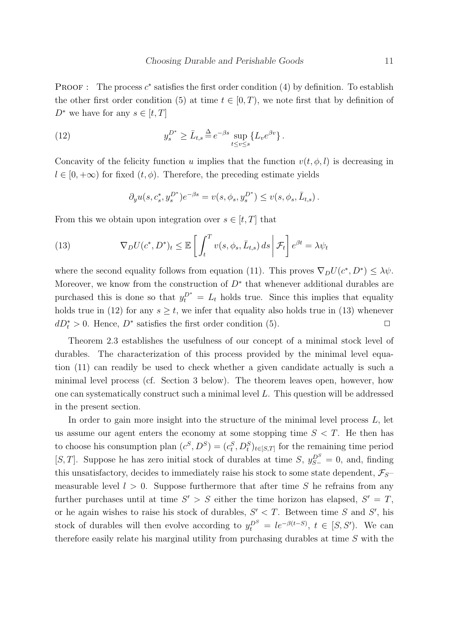**PROOF**: The process  $c^*$  satisfies the first order condition (4) by definition. To establish the other first order condition (5) at time  $t \in [0, T)$ , we note first that by definition of  $D^*$  we have for any  $s \in [t, T]$ 

(12) 
$$
y_s^{D^*} \ge \bar{L}_{t,s} \stackrel{\Delta}{=} e^{-\beta s} \sup_{t \le v \le s} \{ L_v e^{\beta v} \}.
$$

Concavity of the felicity function u implies that the function  $v(t, \phi, l)$  is decreasing in  $l \in [0, +\infty)$  for fixed  $(t, \phi)$ . Therefore, the preceding estimate yields

$$
\partial_y u(s, c_s^*, y_s^{D^*}) e^{-\beta s} = v(s, \phi_s, y_s^{D^*}) \le v(s, \phi_s, \bar{L}_{t,s}).
$$

From this we obtain upon integration over  $s \in [t, T]$  that

(13) 
$$
\nabla_D U(c^*, D^*)_t \leq \mathbb{E}\left[\int_t^T v(s, \phi_s, \bar{L}_{t,s}) ds \middle| \mathcal{F}_t\right] e^{\beta t} = \lambda \psi_t
$$

where the second equality follows from equation (11). This proves  $\nabla_D U(c^*, D^*) \leq \lambda \psi$ . Moreover, we know from the construction of  $D^*$  that whenever additional durables are purchased this is done so that  $y_t^{D^*} = L_t$  holds true. Since this implies that equality holds true in (12) for any  $s \geq t$ , we infer that equality also holds true in (13) whenever  $dD_t^* > 0$ . Hence,  $D^*$  satisfies the first order condition (5).

Theorem 2.3 establishes the usefulness of our concept of a minimal stock level of durables. The characterization of this process provided by the minimal level equation (11) can readily be used to check whether a given candidate actually is such a minimal level process (cf. Section 3 below). The theorem leaves open, however, how one can systematically construct such a minimal level L. This question will be addressed in the present section.

In order to gain more insight into the structure of the minimal level process  $L$ , let us assume our agent enters the economy at some stopping time  $S < T$ . He then has to choose his consumption plan  $(c^S, D^S) = (c_t^S, D_t^S)_{t \in [S,T]}$  for the remaining time period [S, T]. Suppose he has zero initial stock of durables at time S,  $y_{S-}^{D^S} = 0$ , and, finding this unsatisfactory, decides to immediately raise his stock to some state dependent,  $\mathcal{F}_{S}$ – measurable level  $l > 0$ . Suppose furthermore that after time S he refrains from any further purchases until at time  $S' > S$  either the time horizon has elapsed,  $S' = T$ , or he again wishes to raise his stock of durables,  $S' < T$ . Between time S and S', his stock of durables will then evolve according to  $y_t^{D^S} = le^{-\beta(t-S)}$ ,  $t \in [S, S']$ . We can therefore easily relate his marginal utility from purchasing durables at time S with the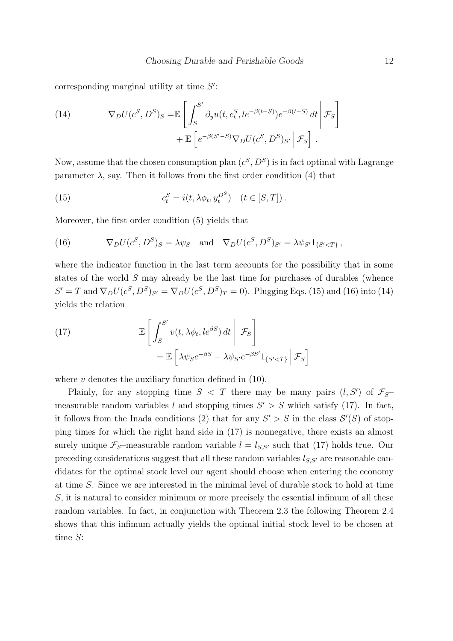corresponding marginal utility at time  $S'$ :

(14) 
$$
\nabla_D U(c^S, D^S)_{S} = \mathbb{E} \left[ \int_{S}^{S'} \partial_y u(t, c_t^S, le^{-\beta(t-S)}) e^{-\beta(t-S)} dt \middle| \mathcal{F}_S \right] + \mathbb{E} \left[ e^{-\beta(S'-S)} \nabla_D U(c^S, D^S)_{S'} \middle| \mathcal{F}_S \right].
$$

Now, assume that the chosen consumption plan  $(c^S, D^S)$  is in fact optimal with Lagrange parameter  $\lambda$ , say. Then it follows from the first order condition (4) that

(15) 
$$
c_t^S = i(t, \lambda \phi_t, y_t^{D^S}) \quad (t \in [S, T]).
$$

Moreover, the first order condition (5) yields that

(16) 
$$
\nabla_D U(c^S, D^S)_S = \lambda \psi_S \text{ and } \nabla_D U(c^S, D^S)_{S'} = \lambda \psi_{S'} 1_{\{S' < T\}},
$$

where the indicator function in the last term accounts for the possibility that in some states of the world S may already be the last time for purchases of durables (whence  $S' = T$  and  $\nabla_D U(c^S, D^S)_{S'} = \nabla_D U(c^S, D^S)_T = 0$ . Plugging Eqs. (15) and (16) into (14) yields the relation

(17) 
$$
\mathbb{E}\left[\int_{S}^{S'} v(t, \lambda \phi_t, le^{\beta S}) dt \middle| \mathcal{F}_{S}\right] = \mathbb{E}\left[\lambda \psi_{S} e^{-\beta S} - \lambda \psi_{S'} e^{-\beta S'} 1_{\{S' < T\}} \middle| \mathcal{F}_{S}\right]
$$

where  $v$  denotes the auxiliary function defined in  $(10)$ .

Plainly, for any stopping time  $S < T$  there may be many pairs  $(l, S')$  of  $\mathcal{F}_{S}$ measurable random variables l and stopping times  $S' > S$  which satisfy (17). In fact, it follows from the Inada conditions (2) that for any  $S' > S$  in the class  $S'(S)$  of stopping times for which the right hand side in (17) is nonnegative, there exists an almost surely unique  $\mathcal{F}_S$ -measurable random variable  $l = l_{S,S'}$  such that (17) holds true. Our preceding considerations suggest that all these random variables  $l_{S,S'}$  are reasonable candidates for the optimal stock level our agent should choose when entering the economy at time S. Since we are interested in the minimal level of durable stock to hold at time S, it is natural to consider minimum or more precisely the essential infimum of all these random variables. In fact, in conjunction with Theorem 2.3 the following Theorem 2.4 shows that this infimum actually yields the optimal initial stock level to be chosen at time S: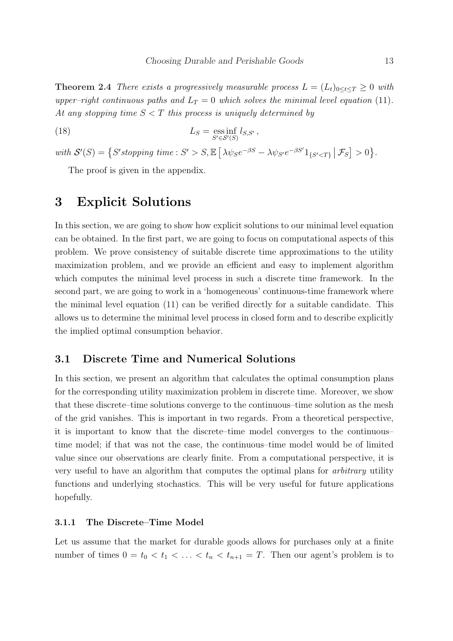**Theorem 2.4** There exists a progressively measurable process  $L = (L_t)_{0 \le t \le T} \ge 0$  with upper–right continuous paths and  $L_T = 0$  which solves the minimal level equation (11). At any stopping time  $S < T$  this process is uniquely determined by

(18) 
$$
L_S = \underset{S' \in \mathcal{S}'(S)}{\text{ess inf}} l_{S,S'} ,
$$

with  $S'(S) = \{S'stopping \ time : S' > S, \mathbb{E}\}$ £  $\lambda \psi_S e^{-\beta S} - \lambda \psi_{S'} e^{-\beta S'} 1_{\{S' < T\}}$  $|\mathcal{F}_S|$  $> 0$ ª .

The proof is given in the appendix.

## 3 Explicit Solutions

In this section, we are going to show how explicit solutions to our minimal level equation can be obtained. In the first part, we are going to focus on computational aspects of this problem. We prove consistency of suitable discrete time approximations to the utility maximization problem, and we provide an efficient and easy to implement algorithm which computes the minimal level process in such a discrete time framework. In the second part, we are going to work in a 'homogeneous' continuous-time framework where the minimal level equation (11) can be verified directly for a suitable candidate. This allows us to determine the minimal level process in closed form and to describe explicitly the implied optimal consumption behavior.

### 3.1 Discrete Time and Numerical Solutions

In this section, we present an algorithm that calculates the optimal consumption plans for the corresponding utility maximization problem in discrete time. Moreover, we show that these discrete–time solutions converge to the continuous–time solution as the mesh of the grid vanishes. This is important in two regards. From a theoretical perspective, it is important to know that the discrete–time model converges to the continuous– time model; if that was not the case, the continuous–time model would be of limited value since our observations are clearly finite. From a computational perspective, it is very useful to have an algorithm that computes the optimal plans for arbitrary utility functions and underlying stochastics. This will be very useful for future applications hopefully.

### 3.1.1 The Discrete–Time Model

Let us assume that the market for durable goods allows for purchases only at a finite number of times  $0 = t_0 < t_1 < \ldots < t_n < t_{n+1} = T$ . Then our agent's problem is to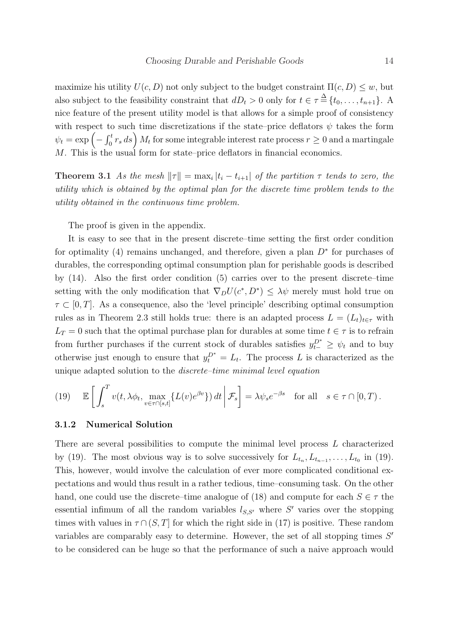maximize his utility  $U(c, D)$  not only subject to the budget constraint  $\Pi(c, D) \leq w$ , but also subject to the feasibility constraint that  $dD_t > 0$  only for  $t \in \tau \stackrel{\Delta}{=} \{t_0, \ldots, t_{n+1}\}.$  A nice feature of the present utility model is that allows for a simple proof of consistency with respect to such time discretizations if the state–price deflators  $\psi$  takes the form with respect to  $\psi_t = \exp \left(-\int_0^t$ For such time discretizations if the state–price deflators  $\psi$  takes the form  $\int_0^t r_s ds$   $M_t$  for some integrable interest rate process  $r \geq 0$  and a martingale M. This is the usual form for state–price deflators in financial economics.

**Theorem 3.1** As the mesh  $||\tau|| = \max_i |t_i - t_{i+1}|$  of the partition  $\tau$  tends to zero, the utility which is obtained by the optimal plan for the discrete time problem tends to the utility obtained in the continuous time problem.

The proof is given in the appendix.

It is easy to see that in the present discrete–time setting the first order condition for optimality (4) remains unchanged, and therefore, given a plan  $D^*$  for purchases of durables, the corresponding optimal consumption plan for perishable goods is described by (14). Also the first order condition (5) carries over to the present discrete–time setting with the only modification that  $\nabla_D U(c^*, D^*) \leq \lambda \psi$  merely must hold true on  $\tau \subset [0, T]$ . As a consequence, also the 'level principle' describing optimal consumption rules as in Theorem 2.3 still holds true: there is an adapted process  $L = (L_t)_{t \in \tau}$  with  $L_T = 0$  such that the optimal purchase plan for durables at some time  $t \in \tau$  is to refrain from further purchases if the current stock of durables satisfies  $y_{t-}^{D^*} \geq \psi_t$  and to buy otherwise just enough to ensure that  $y_t^{D^*} = L_t$ . The process L is characterized as the unique adapted solution to the discrete–time minimal level equation

(19) 
$$
\mathbb{E}\left[\int_{s}^{T} v(t, \lambda \phi_{t}, \max_{v \in \tau \cap [s,t]} \{L(v)e^{\beta v}\}\) dt \middle| \mathcal{F}_{s}\right] = \lambda \psi_{s} e^{-\beta s} \text{ for all } s \in \tau \cap [0,T).
$$

### 3.1.2 Numerical Solution

There are several possibilities to compute the minimal level process L characterized by (19). The most obvious way is to solve successively for  $L_{t_n}, L_{t_{n-1}}, \ldots, L_{t_0}$  in (19). This, however, would involve the calculation of ever more complicated conditional expectations and would thus result in a rather tedious, time–consuming task. On the other hand, one could use the discrete–time analogue of (18) and compute for each  $S \in \tau$  the essential infimum of all the random variables  $l_{S,S'}$  where S' varies over the stopping times with values in  $\tau \cap (S, T]$  for which the right side in (17) is positive. These random variables are comparably easy to determine. However, the set of all stopping times  $S'$ to be considered can be huge so that the performance of such a naive approach would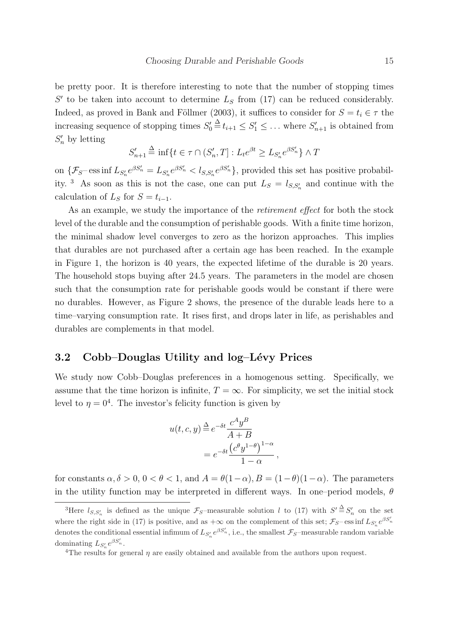be pretty poor. It is therefore interesting to note that the number of stopping times  $S'$  to be taken into account to determine  $L_S$  from (17) can be reduced considerably. Indeed, as proved in Bank and Föllmer (2003), it suffices to consider for  $S = t_i \in \tau$  the increasing sequence of stopping times  $S'_0 \triangleq t_{i+1} \leq S'_1 \leq \ldots$  where  $S'_{n+1}$  is obtained from  $S'_n$  by letting

$$
S'_{n+1} \stackrel{\Delta}{=} \inf \{ t \in \tau \cap (S'_n, T] : L_t e^{\beta t} \ge L_{S'_n} e^{\beta S'_n} \} \wedge T
$$

on  $\{\mathcal{F}_{S}$  ess inf  $L_{S_n'}e^{\beta S_n'} = L_{S_n'}e^{\beta S_n'} < l_{S,S_n'}e^{\beta S_n'}\}$ , provided this set has positive probability.<sup>3</sup> As soon as this is not the case, one can put  $L_s = l_{s,s_n}$  and continue with the calculation of  $L_S$  for  $S = t_{i-1}$ .

As an example, we study the importance of the retirement effect for both the stock level of the durable and the consumption of perishable goods. With a finite time horizon, the minimal shadow level converges to zero as the horizon approaches. This implies that durables are not purchased after a certain age has been reached. In the example in Figure 1, the horizon is 40 years, the expected lifetime of the durable is 20 years. The household stops buying after 24.5 years. The parameters in the model are chosen such that the consumption rate for perishable goods would be constant if there were no durables. However, as Figure 2 shows, the presence of the durable leads here to a time–varying consumption rate. It rises first, and drops later in life, as perishables and durables are complements in that model.

### 3.2 Cobb–Douglas Utility and log–Lévy Prices

We study now Cobb–Douglas preferences in a homogenous setting. Specifically, we assume that the time horizon is infinite,  $T = \infty$ . For simplicity, we set the initial stock level to  $\eta = 0^4$ . The investor's felicity function is given by

$$
u(t, c, y) \stackrel{\Delta}{=} e^{-\delta t} \frac{c^A y^B}{A + B}
$$
  
= 
$$
e^{-\delta t} \frac{(c^{\theta} y^{1-\theta})^{1-\alpha}}{1-\alpha},
$$

for constants  $\alpha, \delta > 0$ ,  $0 < \theta < 1$ , and  $A = \theta(1-\alpha)$ ,  $B = (1-\theta)(1-\alpha)$ . The parameters in the utility function may be interpreted in different ways. In one–period models,  $\theta$ 

<sup>&</sup>lt;sup>3</sup>Here  $l_{S,S'_n}$  is defined as the unique  $\mathcal{F}_S$ -measurable solution l to (17) with  $S' \stackrel{\Delta}{=} S'_n$  on the set where the right side in (17) is positive, and as  $+\infty$  on the complement of this set;  $\mathcal{F}_{S}$ –ess inf  $L_{S_n'}e^{\beta S_n'}$ denotes the conditional essential infimum of  $L_{S'_n} e^{\beta S'_n}$ , i.e., the smallest  $\mathcal{F}_S$ -measurable random variable dominating  $L_{S_n'}e^{\beta S_n'}$ .

<sup>&</sup>lt;sup>4</sup>The results for general  $\eta$  are easily obtained and available from the authors upon request.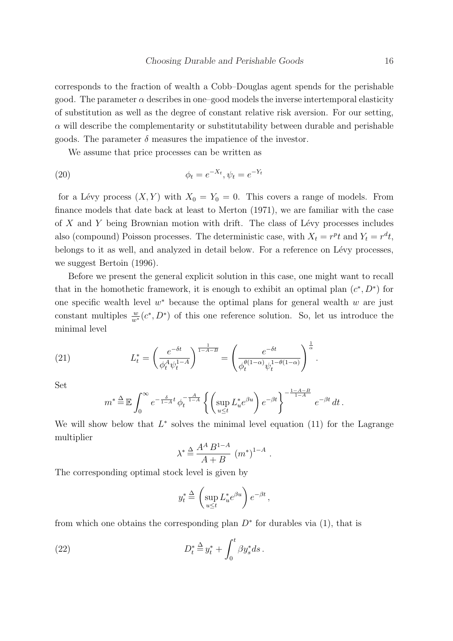corresponds to the fraction of wealth a Cobb–Douglas agent spends for the perishable good. The parameter  $\alpha$  describes in one–good models the inverse intertemporal elasticity of substitution as well as the degree of constant relative risk aversion. For our setting,  $\alpha$  will describe the complementarity or substitutability between durable and perishable goods. The parameter  $\delta$  measures the impatience of the investor.

We assume that price processes can be written as

(20) 
$$
\phi_t = e^{-X_t}, \psi_t = e^{-Y_t}
$$

for a Lévy process  $(X, Y)$  with  $X_0 = Y_0 = 0$ . This covers a range of models. From finance models that date back at least to Merton (1971), we are familiar with the case of  $X$  and  $Y$  being Brownian motion with drift. The class of Lévy processes includes also (compound) Poisson processes. The deterministic case, with  $X_t = r^{pt}$  and  $Y_t = r^{dt}$ , belongs to it as well, and analyzed in detail below. For a reference on Lévy processes, we suggest Bertoin (1996).

Before we present the general explicit solution in this case, one might want to recall that in the homothetic framework, it is enough to exhibit an optimal plan  $(c^*, D^*)$  for one specific wealth level  $w^*$  because the optimal plans for general wealth  $w$  are just constant multiples  $\frac{w}{w^*}(c^*, D^*)$  of this one reference solution. So, let us introduce the minimal level

(21) 
$$
L_t^* = \left(\frac{e^{-\delta t}}{\phi_t^A \psi_t^{1-A}}\right)^{\frac{1}{1-A-B}} = \left(\frac{e^{-\delta t}}{\phi_t^{\theta(1-\alpha)} \psi_t^{1-\theta(1-\alpha)}}\right)^{\frac{1}{\alpha}}.
$$

Set

$$
m^* \stackrel{\Delta}{=} \mathbb{E} \int_0^\infty e^{-\frac{\delta}{1-A}t} \,\phi_t^{-\frac{A}{1-A}} \left\{ \left( \sup_{u \le t} L_u^* e^{\beta u} \right) e^{-\beta t} \right\}^{-\frac{1-A-B}{1-A}} \, e^{-\beta t} \, dt \, .
$$

We will show below that  $L^*$  solves the minimal level equation (11) for the Lagrange multiplier

$$
\lambda^* \stackrel{\Delta}{=} \frac{A^A B^{1-A}}{A+B} (m^*)^{1-A}
$$

.

The corresponding optimal stock level is given by

$$
y_t^* \stackrel{\Delta}{=} \left(\sup_{u \le t} L_u^* e^{\beta u}\right) e^{-\beta t},
$$

from which one obtains the corresponding plan  $D^*$  for durables via (1), that is

(22) 
$$
D_t^* \stackrel{\Delta}{=} y_t^* + \int_0^t \beta y_s^* ds.
$$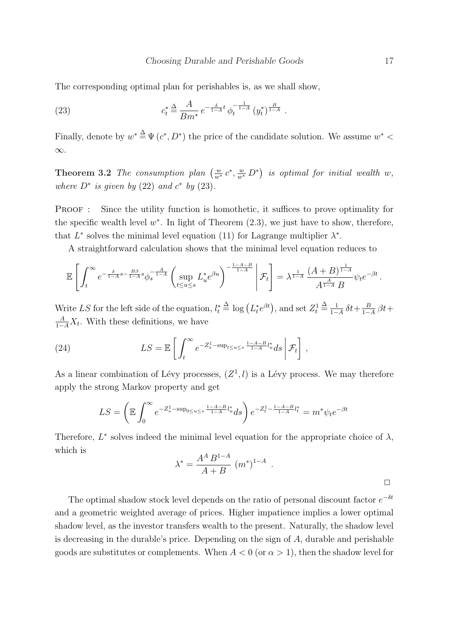The corresponding optimal plan for perishables is, as we shall show,

(23) 
$$
c_t^* \stackrel{\Delta}{=} \frac{A}{Bm^*} e^{-\frac{\delta}{1-A}t} \phi_t^{-\frac{1}{1-A}} (y_t^*)^{\frac{B}{1-A}}.
$$

Finally, denote by  $w^* \stackrel{\Delta}{=} \Psi(c^*, D^*)$  the price of the candidate solution. We assume  $w^*$  < ∞.

**Theorem 3.2** The consumption plan  $\left(\frac{w}{w^*}c^*, \frac{w}{w^*}D^*\right)$ ¢ is optimal for initial wealth w, where  $D^*$  is given by (22) and  $c^*$  by (23).

PROOF : Since the utility function is homothetic, it suffices to prove optimality for the specific wealth level  $w^*$ . In light of Theorem  $(2.3)$ , we just have to show, therefore, that  $L^*$  solves the minimal level equation (11) for Lagrange multiplier  $\lambda^*$ .

A straightforward calculation shows that the minimal level equation reduces to

$$
\mathbb{E}\left[\int_t^\infty e^{-\frac{\delta}{1-A}s-\frac{B\beta}{1-A}s}\phi_s^{-\frac{A}{1-A}}\left(\sup_{t\leq u\leq s}L_u^*e^{\beta u}\right)^{-\frac{1-A-B}{1-A}}\bigg|\mathcal{F}_t\right]=\lambda^{\frac{1}{1-A}}\frac{(A+B)^{\frac{1}{1-A}}}{A^{\frac{A}{1-A}}B}\psi_te^{-\beta t}.
$$

Write LS for the left side of the equation,  $l_t^* \triangleq \log(L_t^* e^{\beta t})$ , and set  $Z_t^1 \triangleq \frac{1}{1-t}$  $\frac{1}{1-A} \, \delta t + \frac{B}{1-A}$  $\frac{B}{1-A}$   $\beta t +$  $\frac{A}{1-A}X_t$ . With these definitions, we have

(24) 
$$
LS = \mathbb{E}\left[\int_t^{\infty} e^{-Z_s^1 - \sup_{t\leq u\leq s} \frac{1-A-B}{1-A}l_u^*} ds \middle| \mathcal{F}_t\right],
$$

As a linear combination of Lévy processes,  $(Z^1, l)$  is a Lévy process. We may therefore apply the strong Markov property and get

$$
LS = \left(\mathbb{E} \int_0^\infty e^{-Z_s^1 - \sup_{0 \le u \le s} \frac{1 - A - B}{1 - A} l_u^*} ds\right) e^{-Z_t^1 - \frac{1 - A - B}{1 - A} l_t^*} = m^* \psi_t e^{-\beta t}
$$

Therefore,  $L^*$  solves indeed the minimal level equation for the appropriate choice of  $\lambda$ , which is

$$
\lambda^* = \frac{A^A B^{1-A}}{A+B} (m^*)^{1-A} .
$$

The optimal shadow stock level depends on the ratio of personal discount factor  $e^{-\delta t}$ and a geometric weighted average of prices. Higher impatience implies a lower optimal shadow level, as the investor transfers wealth to the present. Naturally, the shadow level is decreasing in the durable's price. Depending on the sign of  $A$ , durable and perishable goods are substitutes or complements. When  $A < 0$  (or  $\alpha > 1$ ), then the shadow level for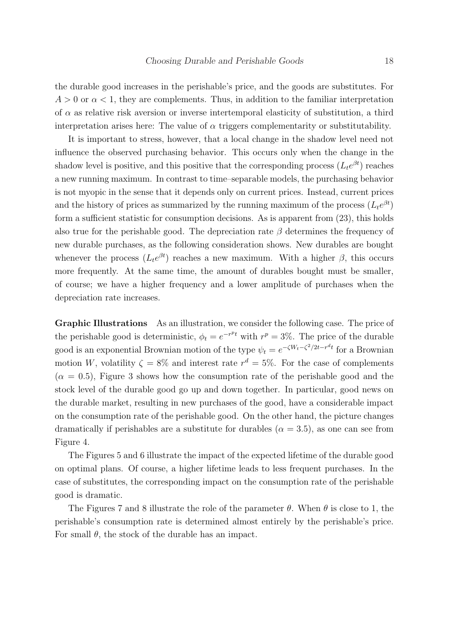the durable good increases in the perishable's price, and the goods are substitutes. For  $A > 0$  or  $\alpha < 1$ , they are complements. Thus, in addition to the familiar interpretation of  $\alpha$  as relative risk aversion or inverse intertemporal elasticity of substitution, a third interpretation arises here: The value of  $\alpha$  triggers complementarity or substitutability.

It is important to stress, however, that a local change in the shadow level need not influence the observed purchasing behavior. This occurs only when the change in the shadow level is positive, and this positive that the corresponding process  $(L_t e^{\beta t})$  reaches a new running maximum. In contrast to time–separable models, the purchasing behavior is not myopic in the sense that it depends only on current prices. Instead, current prices and the history of prices as summarized by the running maximum of the process  $(L_t e^{\beta t})$ form a sufficient statistic for consumption decisions. As is apparent from (23), this holds also true for the perishable good. The depreciation rate  $\beta$  determines the frequency of new durable purchases, as the following consideration shows. New durables are bought whenever the process  $(L_t e^{\beta t})$  reaches a new maximum. With a higher  $\beta$ , this occurs more frequently. At the same time, the amount of durables bought must be smaller, of course; we have a higher frequency and a lower amplitude of purchases when the depreciation rate increases.

Graphic Illustrations As an illustration, we consider the following case. The price of the perishable good is deterministic,  $\phi_t = e^{-r^p t}$  with  $r^p = 3\%$ . The price of the durable good is an exponential Brownian motion of the type  $\psi_t = e^{-\zeta W_t - \zeta^2/2t - r^d t}$  for a Brownian motion W, volatility  $\zeta = 8\%$  and interest rate  $r^d = 5\%$ . For the case of complements  $(\alpha = 0.5)$ , Figure 3 shows how the consumption rate of the perishable good and the stock level of the durable good go up and down together. In particular, good news on the durable market, resulting in new purchases of the good, have a considerable impact on the consumption rate of the perishable good. On the other hand, the picture changes dramatically if perishables are a substitute for durables  $(\alpha = 3.5)$ , as one can see from Figure 4.

The Figures 5 and 6 illustrate the impact of the expected lifetime of the durable good on optimal plans. Of course, a higher lifetime leads to less frequent purchases. In the case of substitutes, the corresponding impact on the consumption rate of the perishable good is dramatic.

The Figures 7 and 8 illustrate the role of the parameter  $\theta$ . When  $\theta$  is close to 1, the perishable's consumption rate is determined almost entirely by the perishable's price. For small  $\theta$ , the stock of the durable has an impact.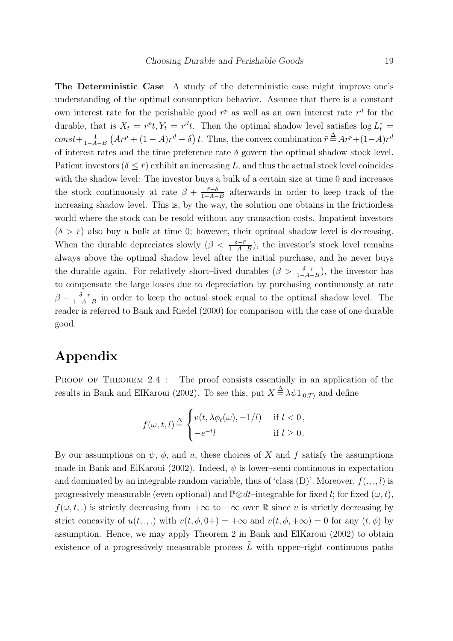The Deterministic Case A study of the deterministic case might improve one's understanding of the optimal consumption behavior. Assume that there is a constant own interest rate for the perishable good  $r^p$  as well as an own interest rate  $r^d$  for the durable, that is  $X_t = r^p t$ ,  $Y_t = r^d t$ . Then the optimal shadow level satisfies  $\log L_t^* =$  $const+\frac{1}{1-4}$  $1-A-B$ ∴<br>∶  $Ar^p + (1 - A)r^d - \delta$ ¢ t. Thus, the convex combination  $\bar{r} \stackrel{\Delta}{=} Ar^p + (1-A)r^d$ of interest rates and the time preference rate  $\delta$  govern the optimal shadow stock level. Patient investors  $(\delta \leq \bar{r})$  exhibit an increasing L, and thus the actual stock level coincides with the shadow level: The investor buys a bulk of a certain size at time 0 and increases the stock continuously at rate  $\beta + \frac{\bar{r}-\delta}{1-\bar{A}-\bar{B}}$  $\frac{\bar{r}-\delta}{1-A-B}$  afterwards in order to keep track of the increasing shadow level. This is, by the way, the solution one obtains in the frictionless world where the stock can be resold without any transaction costs. Impatient investors  $(\delta > \bar{r})$  also buy a bulk at time 0; however, their optimal shadow level is decreasing. When the durable depreciates slowly  $(\beta < \frac{\delta - \bar{r}}{1 - A - B})$ , the investor's stock level remains always above the optimal shadow level after the initial purchase, and he never buys the durable again. For relatively short–lived durables  $(\beta > \frac{\delta - \bar{r}}{1 - A - B})$ , the investor has to compensate the large losses due to depreciation by purchasing continuously at rate  $\beta - \frac{\delta - \bar{r}}{1 - 4}$  $\frac{\delta - \bar{r}}{1-A-B}$  in order to keep the actual stock equal to the optimal shadow level. The reader is referred to Bank and Riedel (2000) for comparison with the case of one durable good.

# Appendix

PROOF OF THEOREM 2.4 : The proof consists essentially in an application of the results in Bank and ElKaroui (2002). To see this, put  $X \stackrel{\Delta}{=} \lambda \psi 1_{[0,T)}$  and define

$$
f(\omega, t, l) \stackrel{\Delta}{=} \begin{cases} v(t, \lambda \phi_t(\omega), -1/l) & \text{if } l < 0, \\ -e^{-t}l & \text{if } l \ge 0. \end{cases}
$$

By our assumptions on  $\psi$ ,  $\phi$ , and u, these choices of X and f satisfy the assumptions made in Bank and ElKaroui (2002). Indeed,  $\psi$  is lower–semi continuous in expectation and dominated by an integrable random variable, thus of 'class  $(D)$ '. Moreover,  $f(., ., l)$  is progressively measurable (even optional) and  $\mathbb{P}\otimes dt$ –integrable for fixed l; for fixed  $(\omega, t)$ ,  $f(\omega, t, \cdot)$  is strictly decreasing from  $+\infty$  to  $-\infty$  over R since v is strictly decreasing by strict concavity of  $u(t, \dots)$  with  $v(t, \phi, 0+) = +\infty$  and  $v(t, \phi, +\infty) = 0$  for any  $(t, \phi)$  by assumption. Hence, we may apply Theorem 2 in Bank and ElKaroui (2002) to obtain existence of a progressively measurable process  $\tilde{L}$  with upper–right continuous paths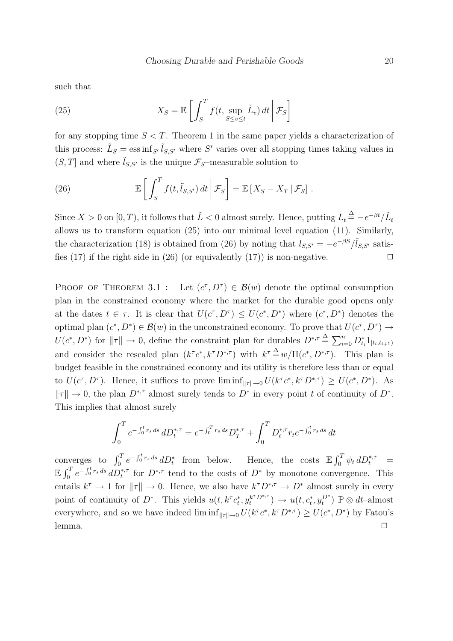such that

(25) 
$$
X_S = \mathbb{E}\left[\int_S^T f(t, \sup_{S \le v \le t} \tilde{L}_v) dt \, \middle| \, \mathcal{F}_S\right]
$$

for any stopping time  $S < T$ . Theorem 1 in the same paper yields a characterization of this process:  $\tilde{L}_S = \operatorname{ess\,inf}_{S'} \tilde{l}_{S,S'}$  where S' varies over all stopping times taking values in  $(S, T]$  and where  $\tilde{l}_{S, S'}$  is the unique  $\mathcal{F}_{S}$ –measurable solution to

(26) 
$$
\mathbb{E}\left[\int_{S}^{T} f(t,\tilde{l}_{S,S'}) dt \, \bigg| \, \mathcal{F}_{S}\right] = \mathbb{E}\left[X_{S} - X_{T} | \, \mathcal{F}_{S}\right].
$$

Since  $X > 0$  on  $[0, T)$ , it follows that  $\tilde{L} < 0$  almost surely. Hence, putting  $L_t \stackrel{\Delta}{=} -e^{-\beta t}/\tilde{L}_t$ allows us to transform equation (25) into our minimal level equation (11). Similarly, the characterization (18) is obtained from (26) by noting that  $l_{S,S'} = -e^{-\beta S}/l_{S,S'}$  satisfies (17) if the right side in (26) (or equivalently (17)) is non-negative.  $\Box$ 

PROOF OF THEOREM 3.1 : Let  $(c^{\tau}, D^{\tau}) \in \mathcal{B}(w)$  denote the optimal consumption plan in the constrained economy where the market for the durable good opens only at the dates  $t \in \tau$ . It is clear that  $U(c^{\tau}, D^{\tau}) \leq U(c^*, D^*)$  where  $(c^*, D^*)$  denotes the optimal plan  $(c^*, D^*) \in \mathcal{B}(w)$  in the unconstrained economy. To prove that  $U(c^{\tau}, D^{\tau}) \to$  $U(c^*, D^*)$  for  $||\tau|| \to 0$ , define the constraint plan for durables  $D^{*,\tau} \triangleq \sum_{i=0}^n D_{t_i}^* 1_{[t_i,t_{i+1})}$ and consider the rescaled plan  $(k^{\tau}c^*, k^{\tau}D^{*,\tau})$  with  $k^{\tau} \stackrel{\Delta}{=} w/\Pi(c^*, D^{*,\tau})$ . This plan is budget feasible in the constrained economy and its utility is therefore less than or equal to  $U(c^{\tau}, D^{\tau})$ . Hence, it suffices to prove  $\liminf_{\|\tau\|\to 0} U(k^{\tau}c^*, k^{\tau}D^{*,\tau}) \geq U(c^*, D^*)$ . As  $||\tau|| \to 0$ , the plan  $D^{*,\tau}$  almost surely tends to  $D^*$  in every point t of continuity of  $D^*$ . This implies that almost surely

$$
\int_0^T e^{-\int_0^t r_s ds} dD_t^{*,\tau} = e^{-\int_0^T r_s ds} D_T^{*,\tau} + \int_0^T D_t^{*,\tau} r_t e^{-\int_0^t r_s ds} dt
$$

converges to  $\int_0^T e^{-\int_0^t r_s ds} dD_t^*$  from below. Hence, the costs  $\mathbb{E} \int_0^T$  $\int_0^T \psi_t \, dD_t^{*,\tau} =$  $\mathbb{E} \int_0^T$  $\int_0^T e^{-\int_0^t r_s ds} dD_t^{*,\tau}$  for  $D^{*,\tau}$  tend to the costs of  $D^*$  by monotone convergence. This entails  $k^{\tau} \to 1$  for  $||\tau|| \to 0$ . Hence, we also have  $k^{\tau}D^{*,\tau} \to D^*$  almost surely in every point of continuity of  $D^*$ . This yields  $u(t, k^{\tau} c_t^*, y_t^{k^{\tau} D^{*,\tau}}) \to u(t, c_t^*, y_t^{D^*}) \mathbb{P} \otimes dt$ -almost everywhere, and so we have indeed  $\liminf_{\|\tau\|\to 0} U(k^{\tau}c^*, k^{\tau}D^{*,\tau}) \geq U(c^*, D^*)$  by Fatou's  $l$ emma.  $\Box$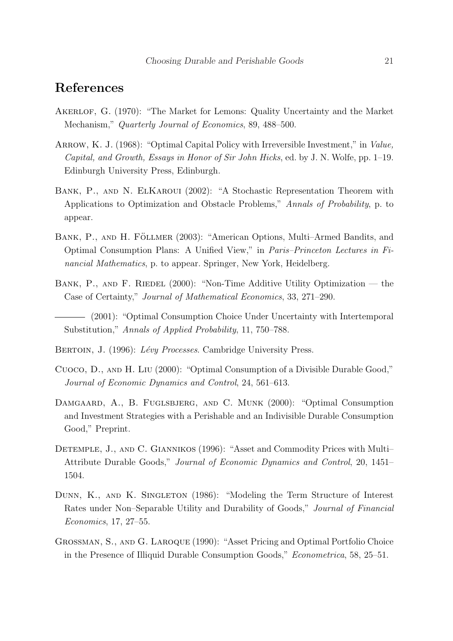## References

- Akerlof, G. (1970): "The Market for Lemons: Quality Uncertainty and the Market Mechanism," Quarterly Journal of Economics, 89, 488–500.
- ARROW, K. J. (1968): "Optimal Capital Policy with Irreversible Investment," in Value, Capital, and Growth, Essays in Honor of Sir John Hicks, ed. by J. N. Wolfe, pp. 1–19. Edinburgh University Press, Edinburgh.
- Bank, P., and N. ElKaroui (2002): "A Stochastic Representation Theorem with Applications to Optimization and Obstacle Problems," Annals of Probability, p. to appear.
- BANK, P., AND H. FÖLLMER (2003): "American Options, Multi-Armed Bandits, and Optimal Consumption Plans: A Unified View," in Paris–Princeton Lectures in Financial Mathematics, p. to appear. Springer, New York, Heidelberg.
- BANK, P., AND F. RIEDEL (2000): "Non-Time Additive Utility Optimization the Case of Certainty," Journal of Mathematical Economics, 33, 271–290.
- (2001): "Optimal Consumption Choice Under Uncertainty with Intertemporal Substitution," Annals of Applied Probability, 11, 750–788.
- BERTOIN, J. (1996): Lévy Processes. Cambridge University Press.
- Cuoco, D., and H. Liu (2000): "Optimal Consumption of a Divisible Durable Good," Journal of Economic Dynamics and Control, 24, 561–613.
- DAMGAARD, A., B. FUGLSBJERG, AND C. MUNK (2000): "Optimal Consumption and Investment Strategies with a Perishable and an Indivisible Durable Consumption Good," Preprint.
- DETEMPLE, J., AND C. GIANNIKOS (1996): "Asset and Commodity Prices with Multi-Attribute Durable Goods," Journal of Economic Dynamics and Control, 20, 1451– 1504.
- DUNN, K., AND K. SINGLETON (1986): "Modeling the Term Structure of Interest Rates under Non–Separable Utility and Durability of Goods," Journal of Financial Economics, 17, 27–55.
- Grossman, S., and G. Laroque (1990): "Asset Pricing and Optimal Portfolio Choice in the Presence of Illiquid Durable Consumption Goods," Econometrica, 58, 25–51.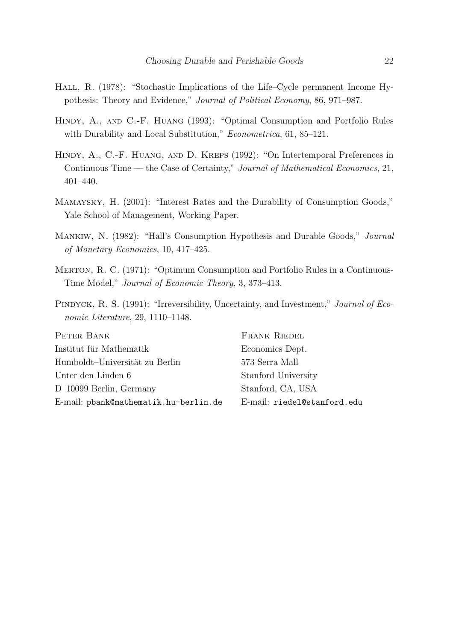- HALL, R. (1978): "Stochastic Implications of the Life–Cycle permanent Income Hypothesis: Theory and Evidence," Journal of Political Economy, 86, 971–987.
- Hindy, A., and C.-F. Huang (1993): "Optimal Consumption and Portfolio Rules with Durability and Local Substitution," *Econometrica*, 61, 85–121.
- Hindy, A., C.-F. Huang, and D. Kreps (1992): "On Intertemporal Preferences in Continuous Time — the Case of Certainty," Journal of Mathematical Economics, 21, 401–440.
- Mamaysky, H. (2001): "Interest Rates and the Durability of Consumption Goods," Yale School of Management, Working Paper.
- Mankiw, N. (1982): "Hall's Consumption Hypothesis and Durable Goods," Journal of Monetary Economics, 10, 417–425.
- Merton, R. C. (1971): "Optimum Consumption and Portfolio Rules in a Continuous-Time Model," Journal of Economic Theory, 3, 373–413.
- PINDYCK, R. S. (1991): "Irreversibility, Uncertainty, and Investment," Journal of Economic Literature, 29, 1110–1148.

PETER BANK Institut für Mathematik Humboldt–Universität zu Berlin Unter den Linden 6 D–10099 Berlin, Germany E-mail: pbank@mathematik.hu-berlin.de

Frank Riedel Economics Dept. 573 Serra Mall Stanford University Stanford, CA, USA E-mail: riedel@stanford.edu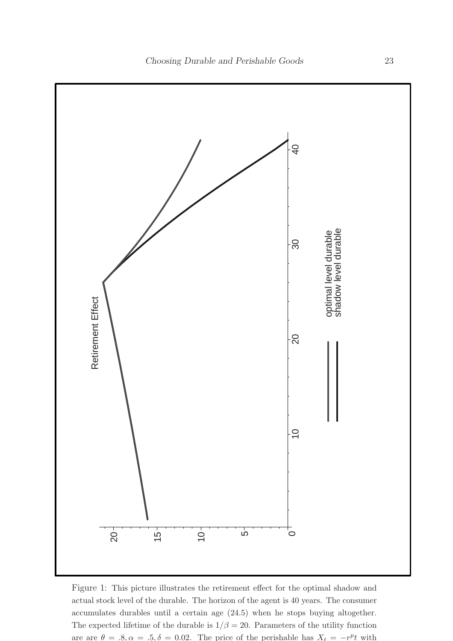

Figure 1: This picture illustrates the retirement effect for the optimal shadow and actual stock level of the durable. The horizon of the agent is 40 years. The consumer accumulates durables until a certain age (24.5) when he stops buying altogether. The expected lifetime of the durable is  $1/\beta = 20$ . Parameters of the utility function are are  $\theta = .8, \alpha = .5, \delta = 0.02$ . The price of the perishable has  $X_t = -r^p t$  with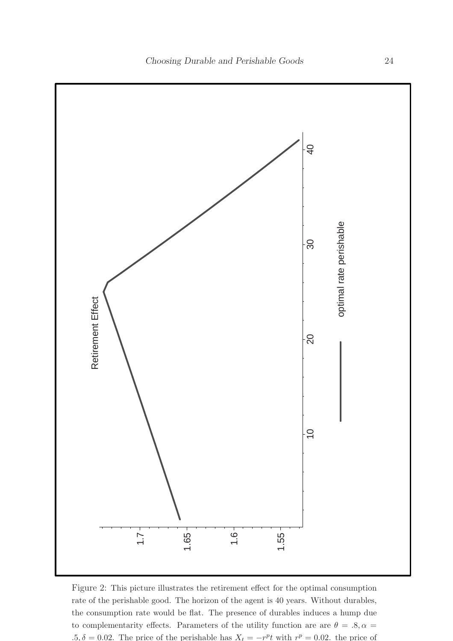

Figure 2: This picture illustrates the retirement effect for the optimal consumption rate of the perishable good. The horizon of the agent is 40 years. Without durables, the consumption rate would be flat. The presence of durables induces a hump due to complementarity effects. Parameters of the utility function are are  $\theta = .8, \alpha =$ .5,  $\delta = 0.02$ . The price of the perishable has  $X_t = -r^p t$  with  $r^p = 0.02$ . the price of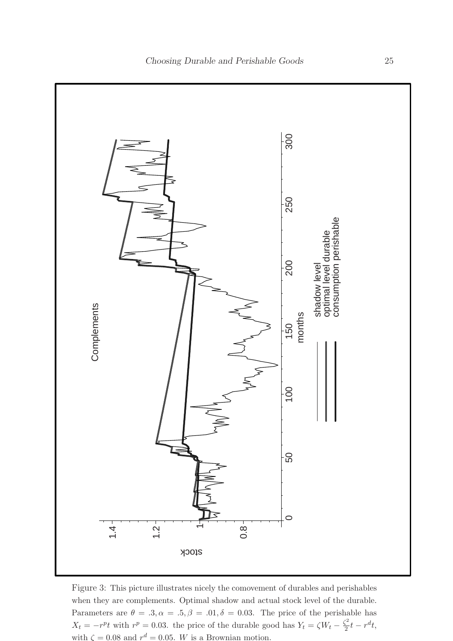

Figure 3: This picture illustrates nicely the comovement of durables and perishables when they are complements. Optimal shadow and actual stock level of the durable. Parameters are  $\theta = .3, \alpha = .5, \beta = .01, \delta = 0.03$ . The price of the perishable has  $X_t = -r^p t$  with  $r^p = 0.03$ . the price of the durable good has  $Y_t = \zeta W_t - \frac{\zeta^2}{2}$  $\frac{c_2}{2}t - r^d t,$ with  $\zeta = 0.08$  and  $r^d = 0.05$ . W is a Brownian motion.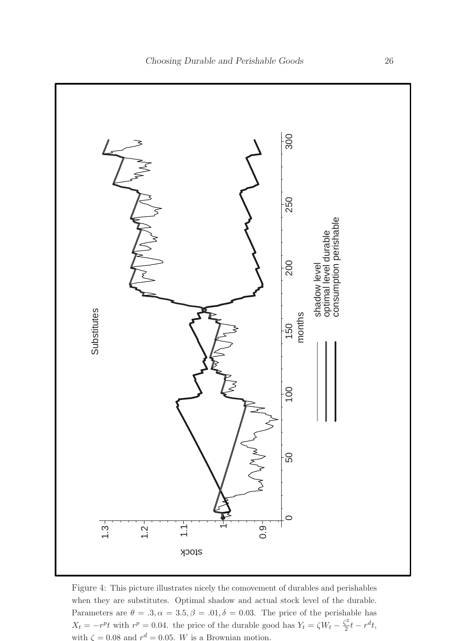

Figure 4: This picture illustrates nicely the comovement of durables and perishables when they are substitutes. Optimal shadow and actual stock level of the durable. Parameters are  $\theta = .3, \alpha = 3.5, \beta = .01, \delta = 0.03$ . The price of the perishable has  $X_t = -r^p t$  with  $r^p = 0.04$ . the price of the durable good has  $Y_t = \zeta W_t - \frac{\zeta^2}{2}$  $\frac{c_2}{2}t - r^d t,$ with  $\zeta = 0.08$  and  $r^d = 0.05$ . W is a Brownian motion.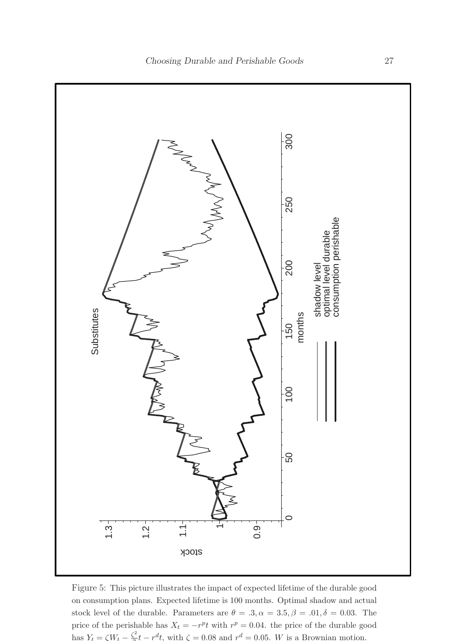

Figure 5: This picture illustrates the impact of expected lifetime of the durable good on consumption plans. Expected lifetime is 100 months. Optimal shadow and actual stock level of the durable. Parameters are  $\theta = .3, \alpha = 3.5, \beta = .01, \delta = 0.03$ . The price of the perishable has  $X_t = -r^p t$  with  $r^p = 0.04$ . the price of the durable good has  $Y_t = \zeta W_t - \frac{\zeta^2}{2}$  $\sum_{i=1}^{2} t - r^d t$ , with  $\zeta = 0.08$  and  $r^d = 0.05$ . W is a Brownian motion.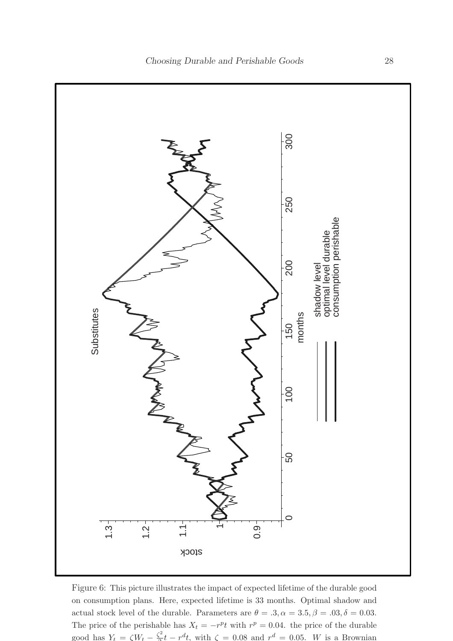

Figure 6: This picture illustrates the impact of expected lifetime of the durable good on consumption plans. Here, expected lifetime is 33 months. Optimal shadow and actual stock level of the durable. Parameters are  $\theta = .3, \alpha = 3.5, \beta = .03, \delta = 0.03$ . The price of the perishable has  $X_t = -r^p t$  with  $r^p = 0.04$ . the price of the durable good has  $Y_t = \zeta W_t - \frac{\zeta^2}{2}$  $\frac{r^2}{2}t - r^d t$ , with  $\zeta = 0.08$  and  $r^d = 0.05$ . W is a Brownian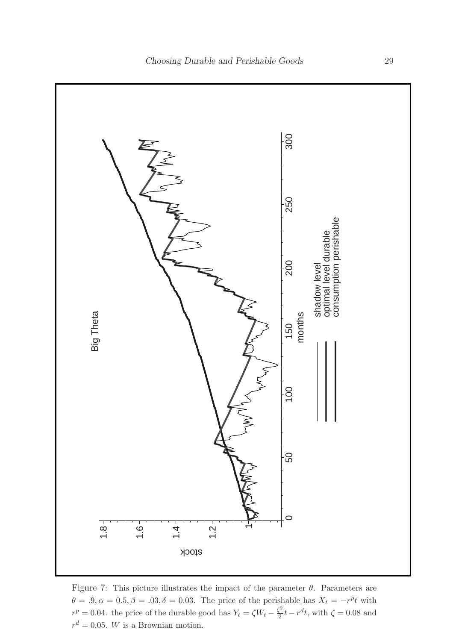

Figure 7: This picture illustrates the impact of the parameter  $\theta$ . Parameters are  $\theta = .9, \alpha = 0.5, \beta = .03, \delta = 0.03$ . The price of the perishable has  $X_t = -r^p t$  with  $r^p = 0.04$ . the price of the durable good has  $Y_t = \zeta W_t - \frac{\zeta^2}{2}$  $\frac{\Sigma^2}{2}t - r^d t$ , with  $\zeta = 0.08$  and  $r^d = 0.05$ . W is a Brownian motion.